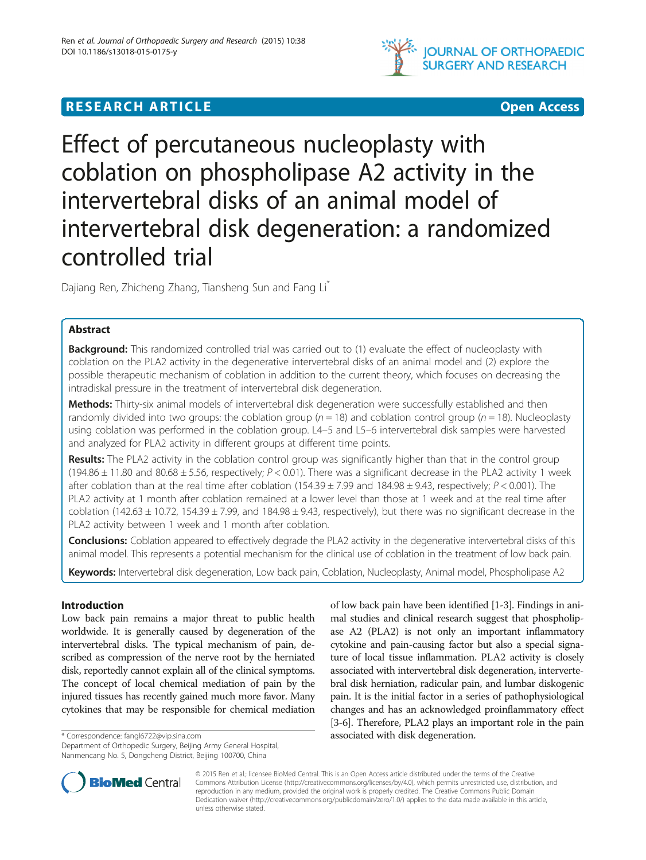

## **RESEARCH ARTICLE Example 2008 12:00 DEAR COPEN ACCESS**



# Effect of percutaneous nucleoplasty with coblation on phospholipase A2 activity in the intervertebral disks of an animal model of intervertebral disk degeneration: a randomized controlled trial

Dajiang Ren, Zhicheng Zhang, Tiansheng Sun and Fang Li\*

## Abstract

**Background:** This randomized controlled trial was carried out to (1) evaluate the effect of nucleoplasty with coblation on the PLA2 activity in the degenerative intervertebral disks of an animal model and (2) explore the possible therapeutic mechanism of coblation in addition to the current theory, which focuses on decreasing the intradiskal pressure in the treatment of intervertebral disk degeneration.

Methods: Thirty-six animal models of intervertebral disk degeneration were successfully established and then randomly divided into two groups: the coblation group ( $n = 18$ ) and coblation control group ( $n = 18$ ). Nucleoplasty using coblation was performed in the coblation group. L4–5 and L5–6 intervertebral disk samples were harvested and analyzed for PLA2 activity in different groups at different time points.

Results: The PLA2 activity in the coblation control group was significantly higher than that in the control group (194.86  $\pm$  11.80 and 80.68  $\pm$  5.56, respectively; P < 0.01). There was a significant decrease in the PLA2 activity 1 week after coblation than at the real time after coblation  $(154.39 \pm 7.99$  and  $184.98 \pm 9.43$ , respectively;  $P < 0.001$ ). The PLA2 activity at 1 month after coblation remained at a lower level than those at 1 week and at the real time after coblation (142.63  $\pm$  10.72, 154.39  $\pm$  7.99, and 184.98  $\pm$  9.43, respectively), but there was no significant decrease in the PLA2 activity between 1 week and 1 month after coblation.

Conclusions: Coblation appeared to effectively degrade the PLA2 activity in the degenerative intervertebral disks of this animal model. This represents a potential mechanism for the clinical use of coblation in the treatment of low back pain.

Keywords: Intervertebral disk degeneration, Low back pain, Coblation, Nucleoplasty, Animal model, Phospholipase A2

## Introduction

Low back pain remains a major threat to public health worldwide. It is generally caused by degeneration of the intervertebral disks. The typical mechanism of pain, described as compression of the nerve root by the herniated disk, reportedly cannot explain all of the clinical symptoms. The concept of local chemical mediation of pain by the injured tissues has recently gained much more favor. Many cytokines that may be responsible for chemical mediation

Department of Orthopedic Surgery, Beijing Army General Hospital, Nanmencang No. 5, Dongcheng District, Beijing 100700, China





© 2015 Ren et al.; licensee BioMed Central. This is an Open Access article distributed under the terms of the Creative Commons Attribution License [\(http://creativecommons.org/licenses/by/4.0\)](http://creativecommons.org/licenses/by/4.0), which permits unrestricted use, distribution, and reproduction in any medium, provided the original work is properly credited. The Creative Commons Public Domain Dedication waiver [\(http://creativecommons.org/publicdomain/zero/1.0/](http://creativecommons.org/publicdomain/zero/1.0/)) applies to the data made available in this article, unless otherwise stated.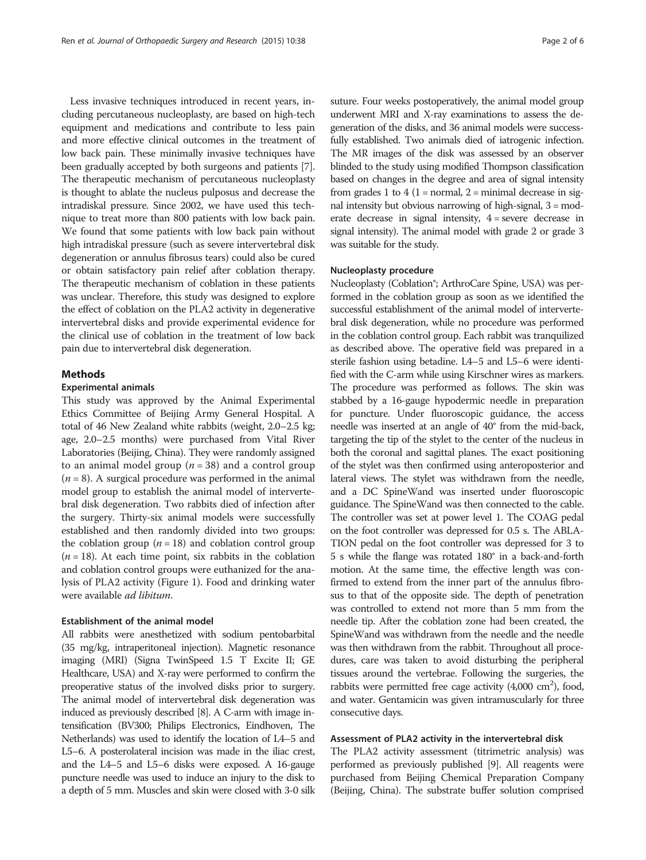Less invasive techniques introduced in recent years, including percutaneous nucleoplasty, are based on high-tech equipment and medications and contribute to less pain and more effective clinical outcomes in the treatment of low back pain. These minimally invasive techniques have been gradually accepted by both surgeons and patients [[7](#page-5-0)]. The therapeutic mechanism of percutaneous nucleoplasty is thought to ablate the nucleus pulposus and decrease the intradiskal pressure. Since 2002, we have used this technique to treat more than 800 patients with low back pain. We found that some patients with low back pain without high intradiskal pressure (such as severe intervertebral disk degeneration or annulus fibrosus tears) could also be cured or obtain satisfactory pain relief after coblation therapy. The therapeutic mechanism of coblation in these patients was unclear. Therefore, this study was designed to explore the effect of coblation on the PLA2 activity in degenerative intervertebral disks and provide experimental evidence for the clinical use of coblation in the treatment of low back pain due to intervertebral disk degeneration.

### Methods

#### Experimental animals

This study was approved by the Animal Experimental Ethics Committee of Beijing Army General Hospital. A total of 46 New Zealand white rabbits (weight, 2.0–2.5 kg; age, 2.0–2.5 months) were purchased from Vital River Laboratories (Beijing, China). They were randomly assigned to an animal model group ( $n = 38$ ) and a control group  $(n = 8)$ . A surgical procedure was performed in the animal model group to establish the animal model of intervertebral disk degeneration. Two rabbits died of infection after the surgery. Thirty-six animal models were successfully established and then randomly divided into two groups: the coblation group  $(n = 18)$  and coblation control group  $(n = 18)$ . At each time point, six rabbits in the coblation and coblation control groups were euthanized for the analysis of PLA2 activity (Figure [1\)](#page-2-0). Food and drinking water were available ad libitum.

#### Establishment of the animal model

All rabbits were anesthetized with sodium pentobarbital (35 mg/kg, intraperitoneal injection). Magnetic resonance imaging (MRI) (Signa TwinSpeed 1.5 T Excite II; GE Healthcare, USA) and X-ray were performed to confirm the preoperative status of the involved disks prior to surgery. The animal model of intervertebral disk degeneration was induced as previously described [[8](#page-5-0)]. A C-arm with image intensification (BV300; Philips Electronics, Eindhoven, The Netherlands) was used to identify the location of L4–5 and L5–6. A posterolateral incision was made in the iliac crest, and the L4–5 and L5–6 disks were exposed. A 16-gauge puncture needle was used to induce an injury to the disk to a depth of 5 mm. Muscles and skin were closed with 3-0 silk suture. Four weeks postoperatively, the animal model group underwent MRI and X-ray examinations to assess the degeneration of the disks, and 36 animal models were successfully established. Two animals died of iatrogenic infection. The MR images of the disk was assessed by an observer blinded to the study using modified Thompson classification based on changes in the degree and area of signal intensity from grades 1 to  $4(1 = normal, 2 = minimal$  decrease in signal intensity but obvious narrowing of high-signal, 3 = moderate decrease in signal intensity,  $4 =$  severe decrease in signal intensity). The animal model with grade 2 or grade 3 was suitable for the study.

#### Nucleoplasty procedure

Nucleoplasty (Coblation®; ArthroCare Spine, USA) was performed in the coblation group as soon as we identified the successful establishment of the animal model of intervertebral disk degeneration, while no procedure was performed in the coblation control group. Each rabbit was tranquilized as described above. The operative field was prepared in a sterile fashion using betadine. L4–5 and L5–6 were identified with the C-arm while using Kirschner wires as markers. The procedure was performed as follows. The skin was stabbed by a 16-gauge hypodermic needle in preparation for puncture. Under fluoroscopic guidance, the access needle was inserted at an angle of 40° from the mid-back, targeting the tip of the stylet to the center of the nucleus in both the coronal and sagittal planes. The exact positioning of the stylet was then confirmed using anteroposterior and lateral views. The stylet was withdrawn from the needle, and a DC SpineWand was inserted under fluoroscopic guidance. The SpineWand was then connected to the cable. The controller was set at power level 1. The COAG pedal on the foot controller was depressed for 0.5 s. The ABLA-TION pedal on the foot controller was depressed for 3 to 5 s while the flange was rotated 180° in a back-and-forth motion. At the same time, the effective length was confirmed to extend from the inner part of the annulus fibrosus to that of the opposite side. The depth of penetration was controlled to extend not more than 5 mm from the needle tip. After the coblation zone had been created, the SpineWand was withdrawn from the needle and the needle was then withdrawn from the rabbit. Throughout all procedures, care was taken to avoid disturbing the peripheral tissues around the vertebrae. Following the surgeries, the rabbits were permitted free cage activity  $(4,000 \text{ cm}^2)$ , food, and water. Gentamicin was given intramuscularly for three consecutive days.

#### Assessment of PLA2 activity in the intervertebral disk

The PLA2 activity assessment (titrimetric analysis) was performed as previously published [[9](#page-5-0)]. All reagents were purchased from Beijing Chemical Preparation Company (Beijing, China). The substrate buffer solution comprised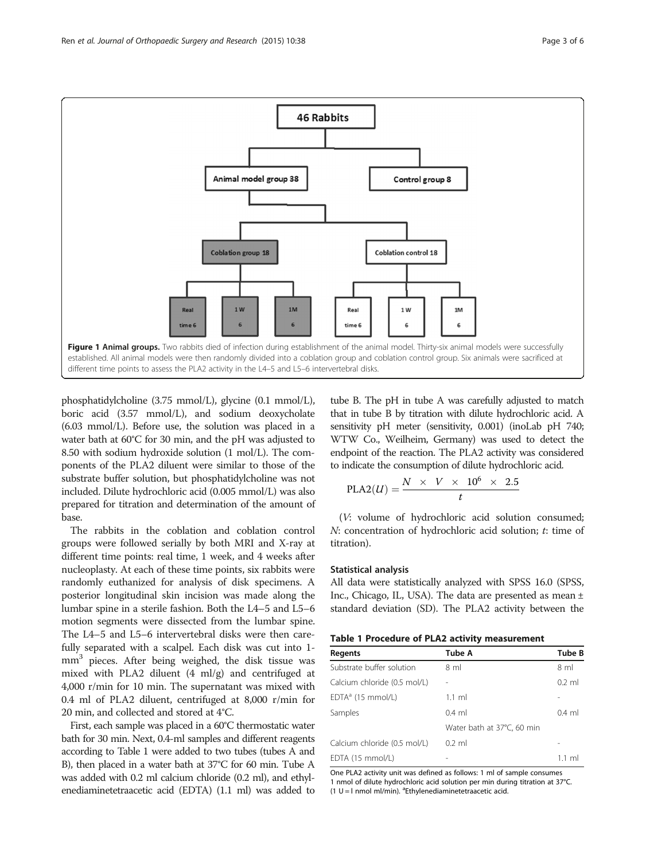<span id="page-2-0"></span>

phosphatidylcholine (3.75 mmol/L), glycine (0.1 mmol/L), boric acid (3.57 mmol/L), and sodium deoxycholate (6.03 mmol/L). Before use, the solution was placed in a water bath at 60°C for 30 min, and the pH was adjusted to 8.50 with sodium hydroxide solution (1 mol/L). The components of the PLA2 diluent were similar to those of the substrate buffer solution, but phosphatidylcholine was not included. Dilute hydrochloric acid (0.005 mmol/L) was also prepared for titration and determination of the amount of base.

The rabbits in the coblation and coblation control groups were followed serially by both MRI and X-ray at different time points: real time, 1 week, and 4 weeks after nucleoplasty. At each of these time points, six rabbits were randomly euthanized for analysis of disk specimens. A posterior longitudinal skin incision was made along the lumbar spine in a sterile fashion. Both the L4–5 and L5–6 motion segments were dissected from the lumbar spine. The L4–5 and L5–6 intervertebral disks were then carefully separated with a scalpel. Each disk was cut into 1 mm<sup>3</sup> pieces. After being weighed, the disk tissue was mixed with PLA2 diluent (4 ml/g) and centrifuged at 4,000 r/min for 10 min. The supernatant was mixed with 0.4 ml of PLA2 diluent, centrifuged at 8,000 r/min for 20 min, and collected and stored at 4°C.

First, each sample was placed in a 60°C thermostatic water bath for 30 min. Next, 0.4-ml samples and different reagents according to Table 1 were added to two tubes (tubes A and B), then placed in a water bath at 37°C for 60 min. Tube A was added with 0.2 ml calcium chloride (0.2 ml), and ethylenediaminetetraacetic acid (EDTA) (1.1 ml) was added to tube B. The pH in tube A was carefully adjusted to match that in tube B by titration with dilute hydrochloric acid. A sensitivity pH meter (sensitivity, 0.001) (inoLab pH 740; WTW Co., Weilheim, Germany) was used to detect the endpoint of the reaction. The PLA2 activity was considered to indicate the consumption of dilute hydrochloric acid.

$$
\text{PLA2}(U) = \frac{N \times V \times 10^6 \times 2.5}{t}
$$

(V: volume of hydrochloric acid solution consumed; N: concentration of hydrochloric acid solution; t: time of titration).

#### Statistical analysis

All data were statistically analyzed with SPSS 16.0 (SPSS, Inc., Chicago, IL, USA). The data are presented as mean ± standard deviation (SD). The PLA2 activity between the

|  | Table 1 Procedure of PLA2 activity measurement |
|--|------------------------------------------------|
|--|------------------------------------------------|

| <b>Regents</b>               | <b>Tube A</b>              | <b>Tube B</b>  |
|------------------------------|----------------------------|----------------|
| Substrate buffer solution    | 8 ml                       | 8 <sub>m</sub> |
| Calcium chloride (0.5 mol/L) |                            | $0.2$ ml       |
| $EDTAa$ (15 mmol/L)          | $1.1$ ml                   |                |
| Samples                      | $0.4$ ml                   | $0.4$ ml       |
|                              | Water bath at 37°C, 60 min |                |
| Calcium chloride (0.5 mol/L) | $0.2$ ml                   |                |
| EDTA (15 mmol/L)             |                            | 1.1 ml         |

One PLA2 activity unit was defined as follows: 1 ml of sample consumes 1 nmol of dilute hydrochloric acid solution per min during titration at 37°C.  $(1 U = I$  nmol ml/min). <sup>a</sup> Ethylenediaminetetraacetic acid.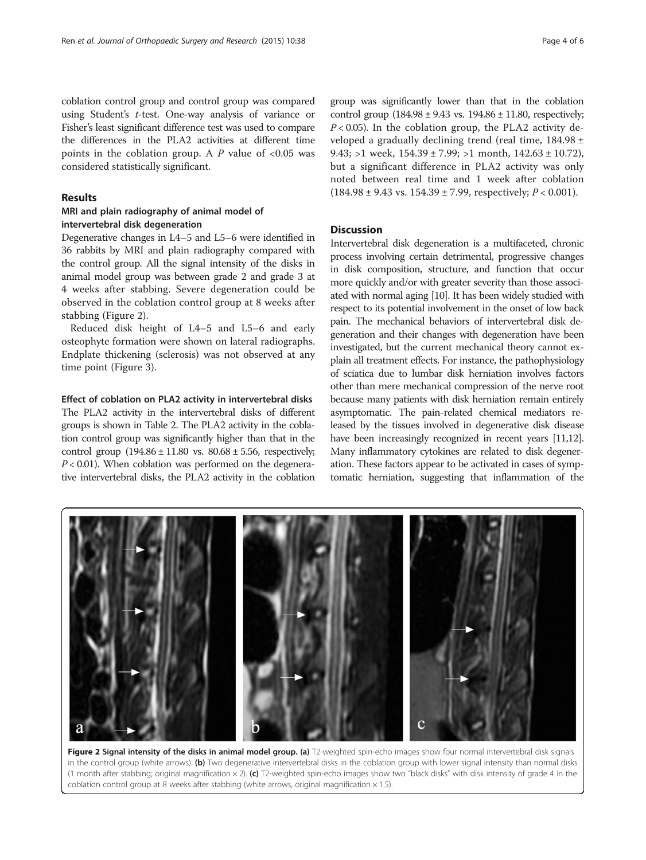## Results

## MRI and plain radiography of animal model of intervertebral disk degeneration

considered statistically significant.

Degenerative changes in L4–5 and L5–6 were identified in 36 rabbits by MRI and plain radiography compared with the control group. All the signal intensity of the disks in animal model group was between grade 2 and grade 3 at 4 weeks after stabbing. Severe degeneration could be observed in the coblation control group at 8 weeks after stabbing (Figure 2).

Reduced disk height of L4–5 and L5–6 and early osteophyte formation were shown on lateral radiographs. Endplate thickening (sclerosis) was not observed at any time point (Figure [3](#page-4-0)).

## Effect of coblation on PLA2 activity in intervertebral disks

The PLA2 activity in the intervertebral disks of different groups is shown in Table [2](#page-4-0). The PLA2 activity in the coblation control group was significantly higher than that in the control group  $(194.86 \pm 11.80 \text{ vs. } 80.68 \pm 5.56, \text{ respectively};$  $P < 0.01$ ). When coblation was performed on the degenerative intervertebral disks, the PLA2 activity in the coblation

group was significantly lower than that in the coblation control group  $(184.98 \pm 9.43 \text{ vs. } 194.86 \pm 11.80)$ , respectively;  $P < 0.05$ ). In the coblation group, the PLA2 activity developed a gradually declining trend (real time, 184.98 ± 9.43; >1 week,  $154.39 \pm 7.99$ ; >1 month,  $142.63 \pm 10.72$ ), but a significant difference in PLA2 activity was only noted between real time and 1 week after coblation  $(184.98 \pm 9.43 \text{ vs. } 154.39 \pm 7.99, \text{ respectively}; P < 0.001).$ 

## Discussion

Intervertebral disk degeneration is a multifaceted, chronic process involving certain detrimental, progressive changes in disk composition, structure, and function that occur more quickly and/or with greater severity than those associated with normal aging [[10](#page-5-0)]. It has been widely studied with respect to its potential involvement in the onset of low back pain. The mechanical behaviors of intervertebral disk degeneration and their changes with degeneration have been investigated, but the current mechanical theory cannot explain all treatment effects. For instance, the pathophysiology of sciatica due to lumbar disk herniation involves factors other than mere mechanical compression of the nerve root because many patients with disk herniation remain entirely asymptomatic. The pain-related chemical mediators released by the tissues involved in degenerative disk disease have been increasingly recognized in recent years [[11,12](#page-5-0)]. Many inflammatory cytokines are related to disk degeneration. These factors appear to be activated in cases of symptomatic herniation, suggesting that inflammation of the



Figure 2 Signal intensity of the disks in animal model group. (a) T2-weighted spin-echo images show four normal intervertebral disk signals in the control group (white arrows). (b) Two degenerative intervertebral disks in the coblation group with lower signal intensity than normal disks (1 month after stabbing; original magnification  $\times$  2). (c) T2-weighted spin-echo images show two "black disks" with disk intensity of grade 4 in the coblation control group at 8 weeks after stabbing (white arrows, original magnification  $\times$  1.5).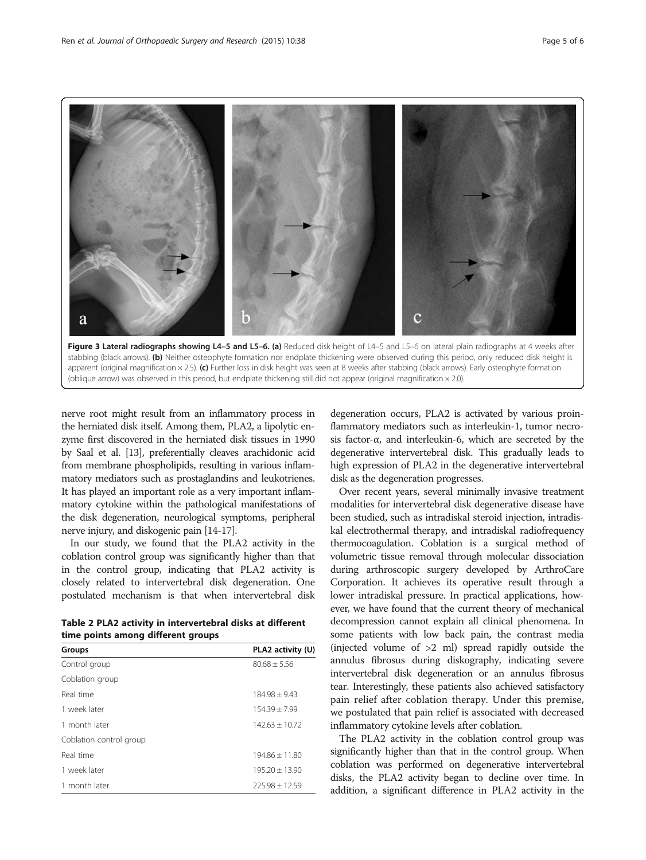<span id="page-4-0"></span>



nerve root might result from an inflammatory process in the herniated disk itself. Among them, PLA2, a lipolytic enzyme first discovered in the herniated disk tissues in 1990 by Saal et al. [[13](#page-5-0)], preferentially cleaves arachidonic acid from membrane phospholipids, resulting in various inflammatory mediators such as prostaglandins and leukotrienes. It has played an important role as a very important inflammatory cytokine within the pathological manifestations of the disk degeneration, neurological symptoms, peripheral nerve injury, and diskogenic pain [\[14-17\]](#page-5-0).

In our study, we found that the PLA2 activity in the coblation control group was significantly higher than that in the control group, indicating that PLA2 activity is closely related to intervertebral disk degeneration. One postulated mechanism is that when intervertebral disk

| Table 2 PLA2 activity in intervertebral disks at different |  |
|------------------------------------------------------------|--|
| time points among different groups                         |  |

| Groups                  | PLA2 activity (U) |
|-------------------------|-------------------|
| Control group           | $80.68 + 5.56$    |
| Coblation group         |                   |
| Real time               | $184.98 + 9.43$   |
| 1 week later            | $154.39 + 7.99$   |
| 1 month later           | $14263 + 1072$    |
| Coblation control group |                   |
| Real time               | $194.86 + 11.80$  |
| 1 week later            | $195.20 + 13.90$  |
| 1 month later           | $725.98 + 12.59$  |

degeneration occurs, PLA2 is activated by various proinflammatory mediators such as interleukin-1, tumor necrosis factor-α, and interleukin-6, which are secreted by the degenerative intervertebral disk. This gradually leads to high expression of PLA2 in the degenerative intervertebral disk as the degeneration progresses.

Over recent years, several minimally invasive treatment modalities for intervertebral disk degenerative disease have been studied, such as intradiskal steroid injection, intradiskal electrothermal therapy, and intradiskal radiofrequency thermocoagulation. Coblation is a surgical method of volumetric tissue removal through molecular dissociation during arthroscopic surgery developed by ArthroCare Corporation. It achieves its operative result through a lower intradiskal pressure. In practical applications, however, we have found that the current theory of mechanical decompression cannot explain all clinical phenomena. In some patients with low back pain, the contrast media (injected volume of >2 ml) spread rapidly outside the annulus fibrosus during diskography, indicating severe intervertebral disk degeneration or an annulus fibrosus tear. Interestingly, these patients also achieved satisfactory pain relief after coblation therapy. Under this premise, we postulated that pain relief is associated with decreased inflammatory cytokine levels after coblation.

The PLA2 activity in the coblation control group was significantly higher than that in the control group. When coblation was performed on degenerative intervertebral disks, the PLA2 activity began to decline over time. In addition, a significant difference in PLA2 activity in the